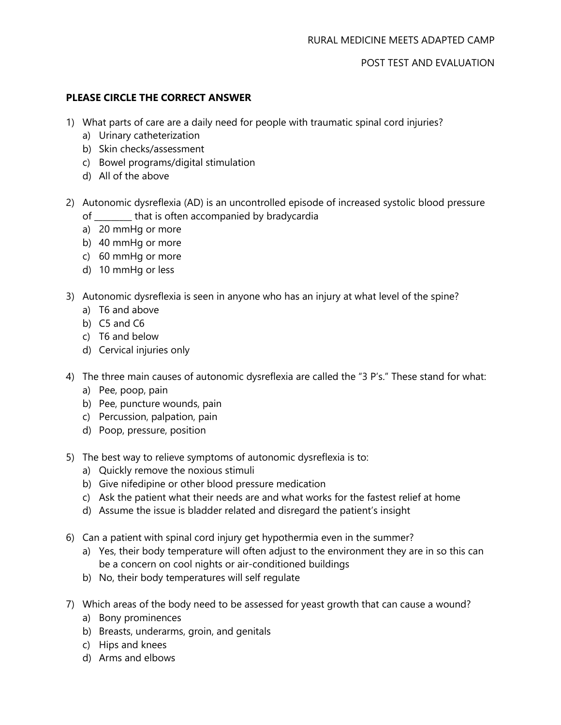POST TEST AND EVALUATION

# **PLEASE CIRCLE THE CORRECT ANSWER**

- 1) What parts of care are a daily need for people with traumatic spinal cord injuries?
	- a) Urinary catheterization
	- b) Skin checks/assessment
	- c) Bowel programs/digital stimulation
	- d) All of the above
- 2) Autonomic dysreflexia (AD) is an uncontrolled episode of increased systolic blood pressure of \_\_\_\_\_\_\_\_\_ that is often accompanied by bradycardia
	- a) 20 mmHg or more
	- b) 40 mmHg or more
	- c) 60 mmHg or more
	- d) 10 mmHg or less
- 3) Autonomic dysreflexia is seen in anyone who has an injury at what level of the spine?
	- a) T6 and above
	- b) C5 and C6
	- c) T6 and below
	- d) Cervical injuries only
- 4) The three main causes of autonomic dysreflexia are called the "3 P's." These stand for what:
	- a) Pee, poop, pain
	- b) Pee, puncture wounds, pain
	- c) Percussion, palpation, pain
	- d) Poop, pressure, position
- 5) The best way to relieve symptoms of autonomic dysreflexia is to:
	- a) Quickly remove the noxious stimuli
	- b) Give nifedipine or other blood pressure medication
	- c) Ask the patient what their needs are and what works for the fastest relief at home
	- d) Assume the issue is bladder related and disregard the patient's insight
- 6) Can a patient with spinal cord injury get hypothermia even in the summer?
	- a) Yes, their body temperature will often adjust to the environment they are in so this can be a concern on cool nights or air-conditioned buildings
	- b) No, their body temperatures will self regulate
- 7) Which areas of the body need to be assessed for yeast growth that can cause a wound?
	- a) Bony prominences
	- b) Breasts, underarms, groin, and genitals
	- c) Hips and knees
	- d) Arms and elbows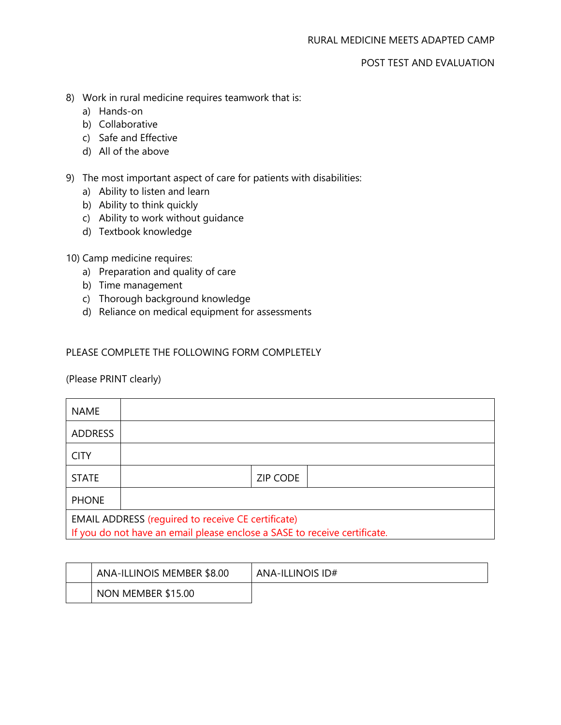# POST TEST AND EVALUATION

- 8) Work in rural medicine requires teamwork that is:
	- a) Hands-on
	- b) Collaborative
	- c) Safe and Effective
	- d) All of the above
- 9) The most important aspect of care for patients with disabilities:
	- a) Ability to listen and learn
	- b) Ability to think quickly
	- c) Ability to work without guidance
	- d) Textbook knowledge

## 10) Camp medicine requires:

- a) Preparation and quality of care
- b) Time management
- c) Thorough background knowledge
- d) Reliance on medical equipment for assessments

## PLEASE COMPLETE THE FOLLOWING FORM COMPLETELY

#### (Please PRINT clearly)

| <b>NAME</b>                                                                                                                            |  |                 |  |  |
|----------------------------------------------------------------------------------------------------------------------------------------|--|-----------------|--|--|
| <b>ADDRESS</b>                                                                                                                         |  |                 |  |  |
| <b>CITY</b>                                                                                                                            |  |                 |  |  |
| <b>STATE</b>                                                                                                                           |  | <b>ZIP CODE</b> |  |  |
| <b>PHONE</b>                                                                                                                           |  |                 |  |  |
| <b>EMAIL ADDRESS (reguired to receive CE certificate)</b><br>If you do not have an email please enclose a SASE to receive certificate. |  |                 |  |  |

| ANA-ILLINOIS MEMBER \$8.00 | ANA-ILLINOIS ID# |
|----------------------------|------------------|
| NON MEMBER \$15.00         |                  |